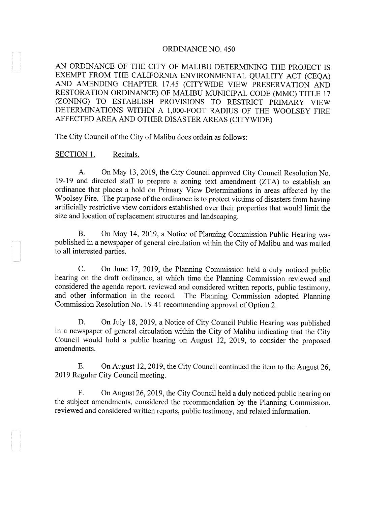#### ORDINANCE NO. 450

AN ORDINANCE OF THE CITY OF MALIBU DETERMINING THE PROJECT IS EXEMPT FROM THE CALIFORNIA ENVIRONMENTAL QUALITY ACT (CEQA) AND AMENDING CHAPTER 17.45 (CITYWIDE VIEW PRESERVATION AND RESTORATION ORDINANCE) OF MALIBU MUNICIPAL CODE (MMC) TITLE 17 (ZONING) TO ESTABLISH PROVISIONS TO RESTRICT PRIMARY VIEW DETERMINATIONS WITHIN A 1,000-FOOT RADIUS OF THE WOOLSEY FIRE AFFECTED AREA AND OTHER DISASTER AREAS (CITYWIDE)

The City Council of the City of Malibu does ordain as follows:

## SECTION 1. Recitals.

A. On May 13, 2019, the City Council approved City Council Resolution No. 19-19 and directed staff to prepare a zoning text amendment (ZTA) to establish an ordinance that places a hold on Primary View Determinations in areas affected by the Woolsey Fire. The purpose of the ordinance is to protect victims of disasters from having artificially restrictive view corridors established over their properties that would limit the size and location of replacement structures and landscaping.

B. On May 14, 2019, <sup>a</sup> Notice of Planning Commission Public Hearing was published in a newspaper of general circulation within the City of Malibu and was mailed to all interested parties.

C. On June 17, 2019, the Planning Commission held a duly noticed public hearing on the draft ordinance, at which time the Planning Commission reviewed and considered the agenda report, reviewed and considered written reports, public testimony, and other information in the record. The Planning Commission adopted Planning Commission Resolution No. 19-41 recommending approval of Option 2.

D. On July 18, 2019, a Notice of City Council Public Hearing was published in a newspaper of general circulation within the City of Malibu indicating that the City Council would hold a public hearing on August 12, 2019, to consider the proposed amendments.

E. On August 12, 2019, the City Council continued the item to the August 26, 2019 Regular City Council meeting.

F. On August 26, 2019, the City Council held a duly noticed public hearing on the subject amendments, considered the recommendation by the Planning Commission, reviewed and considered written reports, public testimony, and related information.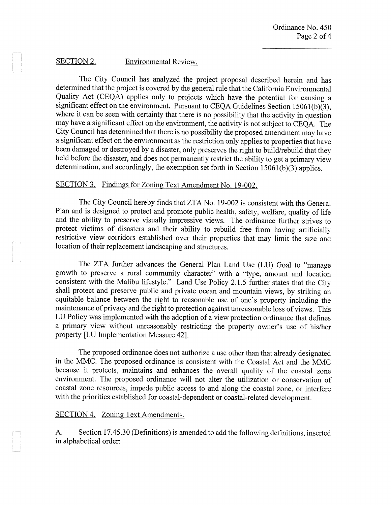### SECTION 2. Environmental Review.

The City Council has analyzed the project proposal described herein and has determined that the project is covered by the general rule that the California Environmental Quality Act (CEQA) applies only to projects which have the potential for causing a significant effect on the environment. Pursuant to CEQA Guidelines Section 15061(b)(3), where it can be seen with certainty that there is no possibility that the activity in question may have a significant effect on the environment, the activity is not subject to CEQA. The City Council has determined that there is no possibility the proposed amendment may have a significant effect on the environment as the restriction only applies to properties that have been damaged or destroyed by a disaster, only preserves the right to build/rebuild that they held before the disaster, and does not permanently restrict the ability to get a primary view determination, and accordingly, the exemption set forth in Section 15061(b)(3) applies.

# SECTION 3. Findings for Zoning Text Amendment No. 19-002.

The City Council hereby finds that ZTA No. 19-002 is consistent with the General Plan and is designed to protect and promote public health, safety, welfare, quality of life and the ability to preserve visually impressive views. The ordinance further strives to protect victims of disasters and their ability to rebuild free from having artificially restrictive view corridors established over their properties that may limit the size and location of their replacement landscaping and structures.

The ZTA further advances the General Plan Land Use (LU) Goal to "manage growth to preserve a rural community character" with a "type, amount and location consistent with the Malibu lifestyle." Land Use Policy 2.1.5 further states that the City shall protect and preserve public and private ocean and mountain views, by striking an equitable balance between the right to reasonable use of one's property including the maintenance of privacy and the right to protection against unreasonable loss of views. This LU Policy was implemented with the adoption of <sup>a</sup> view protection ordinance that defines <sup>a</sup> primary view without unreasonably restricting the property owner's use of his/her property [LU Implementation Measure 42].

The proposed ordinance does not authorize a use other than that already designated in the MMC. The proposed ordinance is consistent with the Coastal Act and the MMC because it protects, maintains and enhances the overall quality of the coastal zone environment. The proposed ordinance will not alter the utilization or conservation of coastal zone resources, impede public access to and along the coastal zone, or interfere with the priorities established for coastal-dependent or coastal-related development.

#### SECTION 4. Zoning Text Amendments.

A. Section 17.45.30 (Definitions) is amended to add the following definitions, inserted in alphabetical order: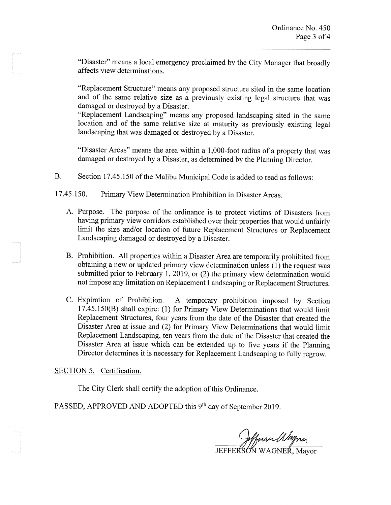"Disaster" means a local emergency proclaimed by the City Manager that broadly affects view determinations.

"Replacement Structure" means any proposed structure sited in the same location and of the same relative size as a previously existing legal structure that was damaged or destroyed by a Disaster.

"Replacement Landscaping" means any proposed landscaping sited in the same location and of the same relative size at maturity as previously existing legal landscaping that was damaged or destroyed by a Disaster.

"Disaster Areas" means the area within <sup>a</sup> 1,000-foot radius of a property that was damaged or destroyed by a Disaster, as determined by the Planning Director.

B. Section 17.45.150 of the Malibu Municipal Code is added to read as follows:

17.45.150. Primary View Determination Prohibition in Disaster Areas.

- A. Purpose. The purpose of the ordinance is to protect victims of Disasters from having primary view corridors established over their properties that would unfairly limit the size and/or location of future Replacement Structures or Replacement Landscaping damaged or destroyed by a Disaster.
- B. Prohibition. All properties within a Disaster Area are temporarily prohibited from obtaining a new or updated primary view determination unless (1) the request was submitted prior to February 1, 2019, or (2) the primary view determination would not impose any limitation on Replacement Landscaping or Replacement Structures.
- C. Expiration of Prohibition. A temporary prohibition imposed by Section 17.45.150(B) shall expire: (1) for Primary View Determinations that would limit Replacement Structures, four years from the date of the Disaster that created the Disaster Area at issue and (2) for Primary View Determinations that would limit Replacement Landscaping, ten years from the date of the Disaster that created the Disaster Area at issue which can be extended up to five years if the Planning Director determines it is necessary for Replacement Landscaping to fully regrow.

SECTION 5. Certification.

The City Clerk shall certify the adoption of this Ordinance.

PASSED, APPROVED AND ADOPTED this 9<sup>th</sup> day of September 2019.

fferser Wogner

JEFFERSON WAGNER, Mayor